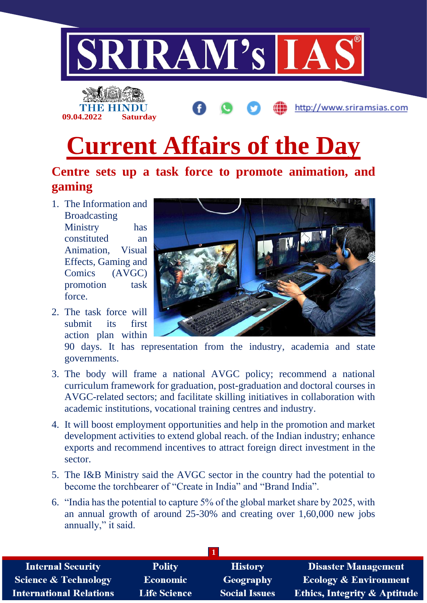



## **Centre sets up a task force to promote animation, and gaming**

1. The Information and Broadcasting Ministry has constituted an Animation, Visual Effects, Gaming and Comics (AVGC) promotion task force.

**09.04.2022 Saturday**

2. The task force will submit its first action plan within



http://www.sriramsias.com

90 days. It has representation from the industry, academia and state governments.

- 3. The body will frame a national AVGC policy; recommend a national curriculum framework for graduation, post-graduation and doctoral courses in AVGC-related sectors; and facilitate skilling initiatives in collaboration with academic institutions, vocational training centres and industry.
- 4. It will boost employment opportunities and help in the promotion and market development activities to extend global reach. of the Indian industry; enhance exports and recommend incentives to attract foreign direct investment in the sector.
- 5. The I&B Ministry said the AVGC sector in the country had the potential to become the torchbearer of "Create in India" and "Brand India".
- 6. "India has the potential to capture 5% of the global market share by 2025, with an annual growth of around 25-30% and creating over 1,60,000 new jobs annually," it said.

| <b>Internal Security</b>        | <b>Polity</b>       | <b>History</b>       | <b>Disaster Management</b>              |
|---------------------------------|---------------------|----------------------|-----------------------------------------|
| <b>Science &amp; Technology</b> | Economic            | Geography            | <b>Ecology &amp; Environment</b>        |
| <b>International Relations</b>  | <b>Life Science</b> | <b>Social Issues</b> | <b>Ethics, Integrity &amp; Aptitude</b> |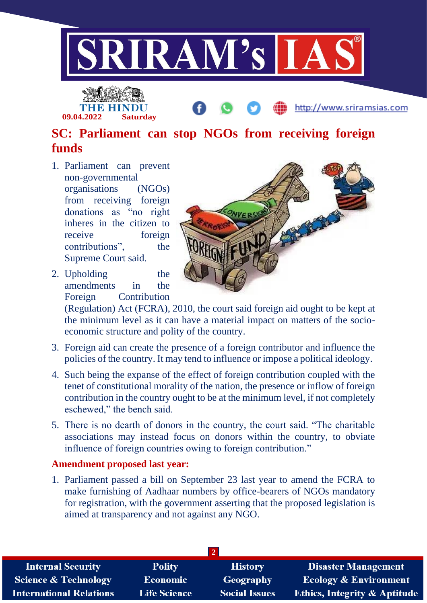



http://www.sriramsias.com

## **SC: Parliament can stop NGOs from receiving foreign funds**

- 1. Parliament can prevent non-governmental organisations (NGOs) from receiving foreign donations as "no right inheres in the citizen to receive foreign contributions", the Supreme Court said.
- 2. Upholding the amendments in the Foreign Contribution



(Regulation) Act (FCRA), 2010, the court said foreign aid ought to be kept at the minimum level as it can have a material impact on matters of the socioeconomic structure and polity of the country.

- 3. Foreign aid can create the presence of a foreign contributor and influence the policies of the country. It may tend to influence or impose a political ideology.
- 4. Such being the expanse of the effect of foreign contribution coupled with the tenet of constitutional morality of the nation, the presence or inflow of foreign contribution in the country ought to be at the minimum level, if not completely eschewed," the bench said.
- 5. There is no dearth of donors in the country, the court said. "The charitable associations may instead focus on donors within the country, to obviate influence of foreign countries owing to foreign contribution."

## **Amendment proposed last year:**

1. Parliament passed a bill on September 23 last year to amend the FCRA to make furnishing of Aadhaar numbers by office-bearers of NGOs mandatory for registration, with the government asserting that the proposed legislation is aimed at transparency and not against any NGO.

| <b>Internal Security</b>        | <b>Polity</b>       | <b>History</b>       | <b>Disaster Management</b>              |  |  |  |
|---------------------------------|---------------------|----------------------|-----------------------------------------|--|--|--|
| <b>Science &amp; Technology</b> | <b>Economic</b>     | Geography            | <b>Ecology &amp; Environment</b>        |  |  |  |
| <b>International Relations</b>  | <b>Life Science</b> | <b>Social Issues</b> | <b>Ethics, Integrity &amp; Aptitude</b> |  |  |  |